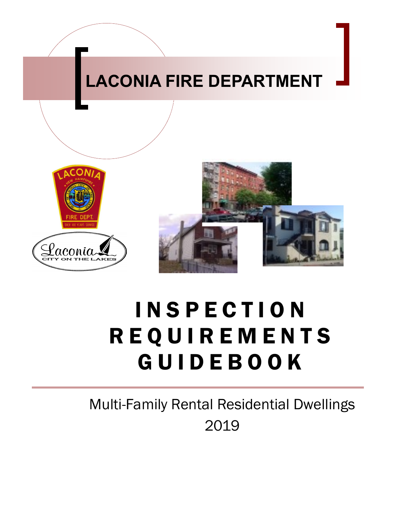

# I N S P E C T I O N R E Q U I R E M E N T S G U I D E B O O K

Multi-Family Rental Residential Dwellings 2019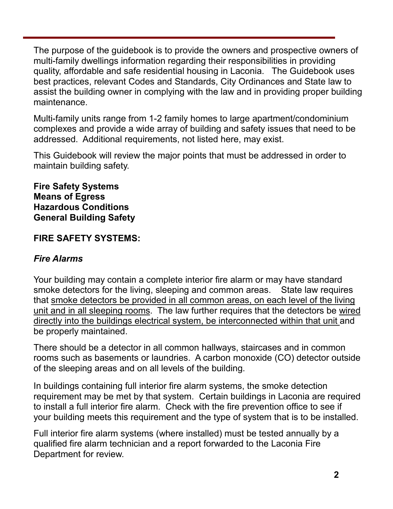The purpose of the guidebook is to provide the owners and prospective owners of multi-family dwellings information regarding their responsibilities in providing quality, affordable and safe residential housing in Laconia. The Guidebook uses best practices, relevant Codes and Standards, City Ordinances and State law to assist the building owner in complying with the law and in providing proper building maintenance.

Multi-family units range from 1-2 family homes to large apartment/condominium complexes and provide a wide array of building and safety issues that need to be addressed. Additional requirements, not listed here, may exist.

This Guidebook will review the major points that must be addressed in order to maintain building safety.

#### **Fire Safety Systems Means of Egress Hazardous Conditions General Building Safety**

# **FIRE SAFETY SYSTEMS:**

## *Fire Alarms*

Your building may contain a complete interior fire alarm or may have standard smoke detectors for the living, sleeping and common areas. State law requires that smoke detectors be provided in all common areas, on each level of the living unit and in all sleeping rooms. The law further requires that the detectors be wired directly into the buildings electrical system, be interconnected within that unit and be properly maintained.

There should be a detector in all common hallways, staircases and in common rooms such as basements or laundries. A carbon monoxide (CO) detector outside of the sleeping areas and on all levels of the building.

In buildings containing full interior fire alarm systems, the smoke detection requirement may be met by that system. Certain buildings in Laconia are required to install a full interior fire alarm. Check with the fire prevention office to see if your building meets this requirement and the type of system that is to be installed.

Full interior fire alarm systems (where installed) must be tested annually by a qualified fire alarm technician and a report forwarded to the Laconia Fire Department for review.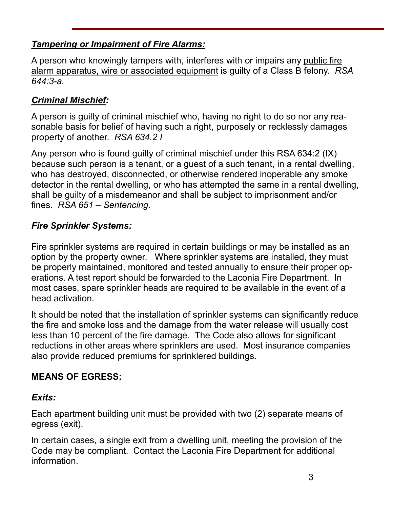# *Tampering or Impairment of Fire Alarms:*

A person who knowingly tampers with, interferes with or impairs any public fire alarm apparatus, wire or associated equipment is guilty of a Class B felony. *RSA 644:3-a.*

# *Criminal Mischief:*

A person is guilty of criminal mischief who, having no right to do so nor any reasonable basis for belief of having such a right, purposely or recklessly damages property of another. *RSA 634.2 I*

Any person who is found guilty of criminal mischief under this RSA 634:2 (IX) because such person is a tenant, or a guest of a such tenant, in a rental dwelling, who has destroyed, disconnected, or otherwise rendered inoperable any smoke detector in the rental dwelling, or who has attempted the same in a rental dwelling, shall be guilty of a misdemeanor and shall be subject to imprisonment and/or fines. *RSA 651 – Sentencing*.

# *Fire Sprinkler Systems:*

Fire sprinkler systems are required in certain buildings or may be installed as an option by the property owner. Where sprinkler systems are installed, they must be properly maintained, monitored and tested annually to ensure their proper operations. A test report should be forwarded to the Laconia Fire Department. In most cases, spare sprinkler heads are required to be available in the event of a head activation.

It should be noted that the installation of sprinkler systems can significantly reduce the fire and smoke loss and the damage from the water release will usually cost less than 10 percent of the fire damage. The Code also allows for significant reductions in other areas where sprinklers are used. Most insurance companies also provide reduced premiums for sprinklered buildings.

# **MEANS OF EGRESS:**

## *Exits:*

Each apartment building unit must be provided with two (2) separate means of egress (exit).

In certain cases, a single exit from a dwelling unit, meeting the provision of the Code may be compliant. Contact the Laconia Fire Department for additional information.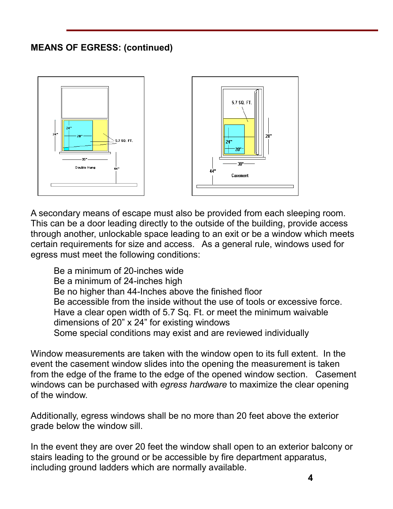# **MEANS OF EGRESS: (continued)**



A secondary means of escape must also be provided from each sleeping room. This can be a door leading directly to the outside of the building, provide access through another, unlockable space leading to an exit or be a window which meets certain requirements for size and access. As a general rule, windows used for egress must meet the following conditions:

Be a minimum of 20-inches wide Be a minimum of 24-inches high Be no higher than 44-Inches above the finished floor Be accessible from the inside without the use of tools or excessive force. Have a clear open width of 5.7 Sq. Ft. or meet the minimum waivable dimensions of 20" x 24" for existing windows Some special conditions may exist and are reviewed individually

Window measurements are taken with the window open to its full extent. In the event the casement window slides into the opening the measurement is taken from the edge of the frame to the edge of the opened window section. Casement windows can be purchased with *egress hardware* to maximize the clear opening of the window.

Additionally, egress windows shall be no more than 20 feet above the exterior grade below the window sill.

In the event they are over 20 feet the window shall open to an exterior balcony or stairs leading to the ground or be accessible by fire department apparatus, including ground ladders which are normally available.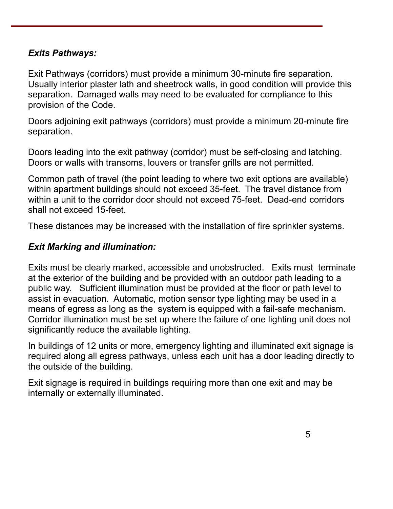#### *Exits Pathways:*

Exit Pathways (corridors) must provide a minimum 30-minute fire separation. Usually interior plaster lath and sheetrock walls, in good condition will provide this separation. Damaged walls may need to be evaluated for compliance to this provision of the Code.

Doors adjoining exit pathways (corridors) must provide a minimum 20-minute fire separation.

Doors leading into the exit pathway (corridor) must be self-closing and latching. Doors or walls with transoms, louvers or transfer grills are not permitted.

Common path of travel (the point leading to where two exit options are available) within apartment buildings should not exceed 35-feet. The travel distance from within a unit to the corridor door should not exceed 75-feet. Dead-end corridors shall not exceed 15-feet.

These distances may be increased with the installation of fire sprinkler systems.

#### *Exit Marking and illumination:*

Exits must be clearly marked, accessible and unobstructed. Exits must terminate at the exterior of the building and be provided with an outdoor path leading to a public way. Sufficient illumination must be provided at the floor or path level to assist in evacuation. Automatic, motion sensor type lighting may be used in a means of egress as long as the system is equipped with a fail-safe mechanism. Corridor illumination must be set up where the failure of one lighting unit does not significantly reduce the available lighting.

In buildings of 12 units or more, emergency lighting and illuminated exit signage is required along all egress pathways, unless each unit has a door leading directly to the outside of the building.

Exit signage is required in buildings requiring more than one exit and may be internally or externally illuminated.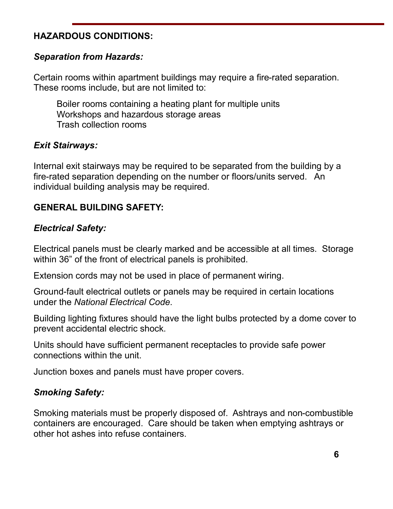## **HAZARDOUS CONDITIONS:**

#### *Separation from Hazards:*

Certain rooms within apartment buildings may require a fire-rated separation. These rooms include, but are not limited to:

Boiler rooms containing a heating plant for multiple units Workshops and hazardous storage areas Trash collection rooms

#### *Exit Stairways:*

Internal exit stairways may be required to be separated from the building by a fire-rated separation depending on the number or floors/units served. An individual building analysis may be required.

# **GENERAL BUILDING SAFETY:**

#### *Electrical Safety:*

Electrical panels must be clearly marked and be accessible at all times. Storage within 36" of the front of electrical panels is prohibited.

Extension cords may not be used in place of permanent wiring.

Ground-fault electrical outlets or panels may be required in certain locations under the *National Electrical Code*.

Building lighting fixtures should have the light bulbs protected by a dome cover to prevent accidental electric shock.

Units should have sufficient permanent receptacles to provide safe power connections within the unit.

Junction boxes and panels must have proper covers.

## *Smoking Safety:*

Smoking materials must be properly disposed of. Ashtrays and non-combustible containers are encouraged. Care should be taken when emptying ashtrays or other hot ashes into refuse containers.